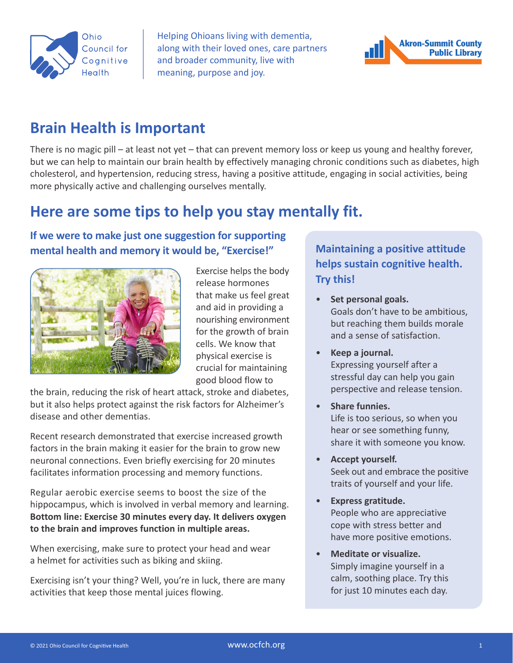

Helping Ohioans living with dementia, along with their loved ones, care partners and broader community, live with meaning, purpose and joy.



## **Brain Health is Important**

There is no magic pill – at least not yet – that can prevent memory loss or keep us young and healthy forever, but we can help to maintain our brain health by effectively managing chronic conditions such as diabetes, high cholesterol, and hypertension, reducing stress, having a positive attitude, engaging in social activities, being more physically active and challenging ourselves mentally.

# **Here are some tips to help you stay mentally fit.**

## **If we were to make just one suggestion for supporting mental health and memory it would be, "Exercise!"**



Exercise helps the body release hormones that make us feel great and aid in providing a nourishing environment for the growth of brain cells. We know that physical exercise is crucial for maintaining good blood flow to

the brain, reducing the risk of heart attack, stroke and diabetes, but it also helps protect against the risk factors for Alzheimer's disease and other dementias.

Recent research demonstrated that exercise increased growth factors in the brain making it easier for the brain to grow new neuronal connections. Even briefly exercising for 20 minutes facilitates information processing and memory functions.

Regular aerobic exercise seems to boost the size of the hippocampus, which is involved in verbal memory and learning. **Bottom line: Exercise 30 minutes every day. It delivers oxygen to the brain and improves function in multiple areas.**

When exercising, make sure to protect your head and wear a helmet for activities such as biking and skiing.

Exercising isn't your thing? Well, you're in luck, there are many activities that keep those mental juices flowing.

## **Maintaining a positive attitude helps sustain cognitive health. Try this!**

- **Set personal goals.** Goals don't have to be ambitious, but reaching them builds morale and a sense of satisfaction.
- **Keep a journal.** Expressing yourself after a stressful day can help you gain perspective and release tension.
- **Share funnies.** Life is too serious, so when you hear or see something funny, share it with someone you know.
- **Accept yourself.** Seek out and embrace the positive traits of yourself and your life.
- **Express gratitude.** People who are appreciative cope with stress better and have more positive emotions.
- **Meditate or visualize.** Simply imagine yourself in a calm, soothing place. Try this for just 10 minutes each day.